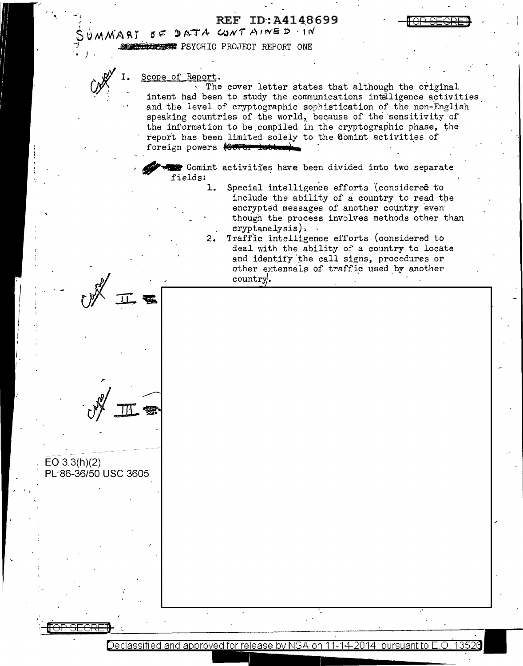**REF ID:A4148699** 

MMARY OF **COMMODERS PSYCHIC PROJECT REPORT ONE** 

DATA CONTAINED IN

## Scope of Report.

 $EO 3.3(h)(2)$ 

PL-86-36/50 USC 3605

The cover letter states that although the original intent had been to study the communications intelligence activities and the level of cryptographic sophistication of the non-English speaking countries of the world, because of the sensitivity of the information to be compiled in the cryptographic phase, the report has been limited solely to the Comint activities of foreign powers (Cover lots

Comint activities have been divided into two separate fields:

- Special intelligence efforts (considered to ı. include the ability of a country to read the encrypted messages of another country even though the process involves methods other than  $cryptanalysis$ .
- Traffic intelligence efforts (considered to 2. deal with the ability of a country to locate and identify the call signs, procedures or other extennals of traffic used by another country.

Declassified and approved for release by NSA on 11-14-2014. pursuant to E.O. 1352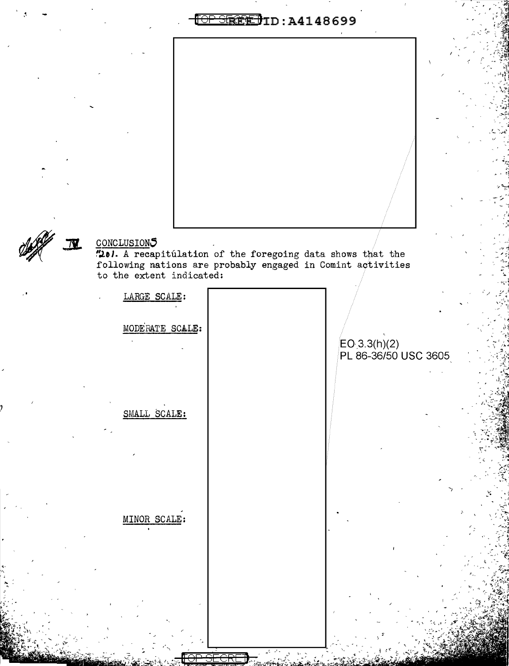**TOP STREET** ID: A4148699



CONCLUSIONS<br>"201. A recapitulation of the foregoing data shows that the<br>following nations are probably engaged in Comint activities<br>to the extent indicated:

| LARGE SCALE:<br>MODERATE SCALE: | EO 3.3(h)(2)<br>PL 86-36/50 USC |
|---------------------------------|---------------------------------|
| SMALL SCALE:                    |                                 |
| MINOR SCALE:                    |                                 |
|                                 |                                 |

3605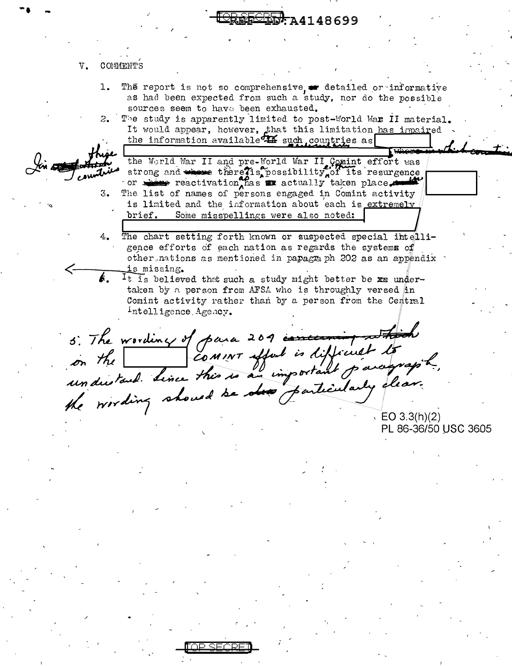# 74148699

## V. COMMENTS

- The report is not so comprehensive or detailed or informative ı. as had been expected from such a study, nor do the possible sources seem to have been exhausted.
- The study is apparently limited to post-World War II material.  $2.$ It would appear, however, that this limitation has impaired the information available 14 such countries as

the World War II and pre-World War II Comint effort was strong and whose there is possibility of its resurgence or show reactivation, has we actually taken place The list of names of persons engaged in Comint activity 3. is limited and the information about each is extremely brief. Some misspellings were also noted:

The chart setting forth known or suspected special intelli-4. gence efforts of each nation as regards the systems of other nations as mentioned in papagraph 202 as an appendix is missing.

b., It is believed that such a study might better be xx undertaken by a person from AFSA who is throughly versed in Comint activity rather than by a person from the Central Intelligence Agency.

5. The wording of para 201 concerning which  $EO(3.3(h)(2))$ 

PL 86-36/50 USC 3605